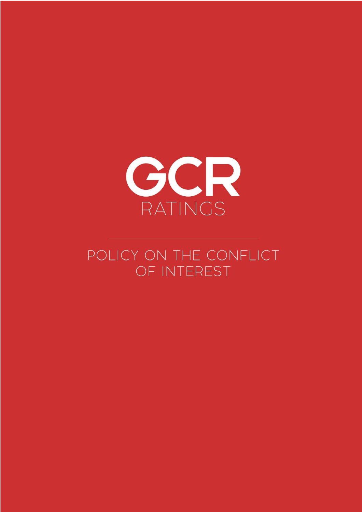

# POLICY ON THE CONFLICT OF INTEREST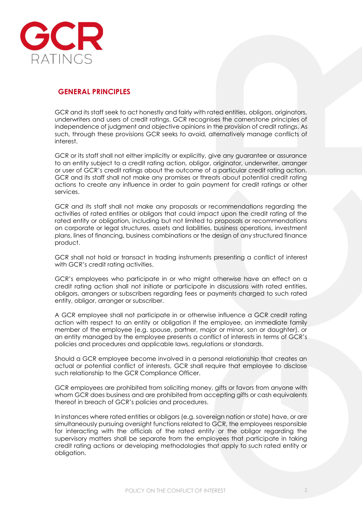

## **GENERAL PRINCIPLES**

GCR and its staff seek to act honestly and fairly with rated entities, obligors, originators, underwriters and users of credit ratings. GCR recognises the cornerstone principles of independence of judgment and objective opinions in the provision of credit ratings. As such, through these provisions GCR seeks to avoid, alternatively manage conflicts of interest.

GCR or its staff shall not either implicitly or explicitly, give any guarantee or assurance to an entity subject to a credit rating action, obligor, originator, underwriter, arranger or user of GCR's credit ratings about the outcome of a particular credit rating action. GCR and its staff shall not make any promises or threats about potential credit rating actions to create any influence in order to gain payment for credit ratings or other services.

GCR and its staff shall not make any proposals or recommendations regarding the activities of rated entities or obligors that could impact upon the credit rating of the rated entity or obligation, including but not limited to proposals or recommendations on corporate or legal structures, assets and liabilities, business operations, investment plans, lines of financing, business combinations or the design of any structured finance product.

GCR shall not hold or transact in trading instruments presenting a conflict of interest with GCR's credit rating activities.

GCR's employees who participate in or who might otherwise have an effect on a credit rating action shall not initiate or participate in discussions with rated entities, obligors, arrangers or subscribers regarding fees or payments charged to such rated entity, obligor, arranger or subscriber.

A GCR employee shall not participate in or otherwise influence a GCR credit rating action with respect to an entity or obligation if the employee, an immediate family member of the employee (e.g. spouse, partner, major or minor, son or daughter), or an entity managed by the employee presents a conflict of interests in terms of GCR's policies and procedures and applicable laws, regulations or standards.

Should a GCR employee become involved in a personal relationship that creates an actual or potential conflict of interests, GCR shall require that employee to disclose such relationship to the GCR Compliance Officer.

GCR employees are prohibited from soliciting money, gifts or favors from anyone with whom GCR does business and are prohibited from accepting gifts or cash equivalents thereof in breach of GCR's policies and procedures.

In instances where rated entities or obligors (e.g. sovereign nation or state) have, or are simultaneously pursuing oversight functions related to GCR, the employees responsible for interacting with the officials of the rated entity or the obligor regarding the supervisory matters shall be separate from the employees that participate in taking credit rating actions or developing methodologies that apply to such rated entity or obliaation.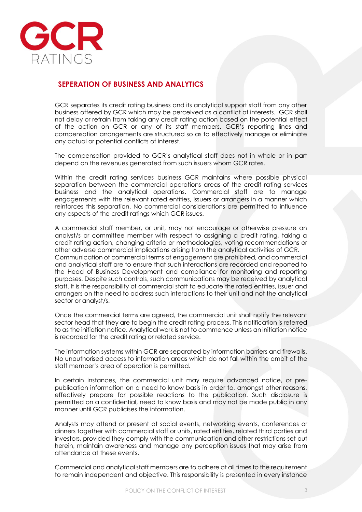

## **SEPERATION OF BUSINESS AND ANALYTICS**

GCR separates its credit rating business and its analytical support staff from any other business offered by GCR which may be perceived as a conflict of interests. GCR shall not delay or refrain from taking any credit rating action based on the potential effect of the action on GCR or any of its staff members. GCR's reporting lines and compensation arrangements are structured so as to effectively manage or eliminate any actual or potential conflicts of interest.

The compensation provided to GCR's analytical staff does not in whole or in part depend on the revenues generated from such issuers whom GCR rates.

Within the credit rating services business GCR maintains where possible physical separation between the commercial operations areas of the credit rating services business and the analytical operations. Commercial staff are to manage engagements with the relevant rated entities, issuers or arrangers in a manner which reinforces this separation. No commercial considerations are permitted to influence any aspects of the credit ratings which GCR issues.

A commercial staff member, or unit, may not encourage or otherwise pressure an analyst/s or committee member with respect to assigning a credit rating, taking a credit rating action, changing criteria or methodologies, voting recommendations or other adverse commercial implications arising from the analytical activities of GCR. Communication of commercial terms of engagement are prohibited, and commercial and analytical staff are to ensure that such interactions are recorded and reported to the Head of Business Development and compliance for monitoring and reporting purposes. Despite such controls, such communications may be received by analytical staff. It is the responsibility of commercial staff to educate the rated entities, issuer and arrangers on the need to address such interactions to their unit and not the analytical sector or analyst/s.

Once the commercial terms are agreed, the commercial unit shall notify the relevant sector head that they are to begin the credit rating process. This notification is referred to as the initiation notice. Analytical work is not to commence unless an initiation notice is recorded for the credit rating or related service.

The information systems within GCR are separated by information barriers and firewalls. No unauthorised access to information areas which do not fall within the ambit of the staff member's area of operation is permitted.

In certain instances, the commercial unit may require advanced notice, or prepublication information on a need to know basis in order to, amongst other reasons, effectively prepare for possible reactions to the publication. Such disclosure is permitted on a confidential, need to know basis and may not be made public in any manner until GCR publicises the information.

Analysts may attend or present at social events, networking events, conferences or dinners together with commercial staff or units, rated entities, related third parties and investors, provided they comply with the communication and other restrictions set out herein, maintain awareness and manage any perception issues that may arise from attendance at these events.

Commercial and analytical staff members are to adhere at all times to the requirement to remain independent and objective. This responsibility is presented in every instance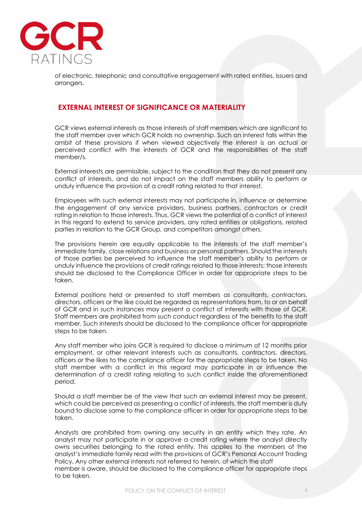

of electronic, telephonic and consultative engagement with rated entities, issuers and arrangers.

#### **EXTERNAL INTEREST OF SIGNIFICANCE OR MATERIALITY**

GCR views external interests as those interests of staff members which are significant to the staff member over which GCR holds no ownership. Such an interest falls within the ambit of these provisions if when viewed objectively the interest is an actual or perceived conflict with the interests of GCR and the responsibilities of the staff member/s.

External interests are permissible, subject to the condition that they do not present any conflict of interests, and do not impact on the staff members ability to perform or unduly influence the provision of a credit rating related to that interest.

Employees with such external interests may not participate in, influence or determine the engagement of any service providers, business partners, contractors or credit rating in relation to those interests. Thus, GCR views the potential of a conflict of interest in this regard to extend to service providers, any rated entities or obligations, related parties in relation to the GCR Group, and competitors amongst others.

The provisions herein are equally applicable to the interests of the staff member's immediate family, close relations and business or personal partners. Should the interests of those parties be perceived to influence the staff member's ability to perform or unduly influence the provisions of credit ratings related to those interests; those interests should be disclosed to the Compliance Officer in order for appropriate steps to be taken.

External positions held or presented to staff members as consultants, contractors, directors, officers or the like could be regarded as representations from, to or on behalf of GCR and in such instances may present a conflict of interests with those of GCR. Staff members are prohibited from such conduct regardless of the benefits to the staff member. Such interests should be disclosed to the compliance officer for appropriate steps to be taken.

Any staff member who joins GCR is required to disclose a minimum of 12 months prior employment, or other relevant interests such as consultants, contractors, directors, officers or the likes to the compliance officer for the appropriate steps to be taken. No staff member with a conflict in this regard may participate in or influence the determination of a credit rating relating to such conflict inside the aforementioned period.

Should a staff member be of the view that such an external interest may be present, which could be perceived as presenting a conflict of interests, the staff member is duty bound to disclose same to the compliance officer in order for appropriate steps to be taken.

Analysts are prohibited from owning any security in an entity which they rate. An analyst may not participate in or approve a credit rating where the analyst directly owns securities belonging to the rated entity. This applies to the members of the analyst's immediate family read with the provisions of GCR's Personal Account Trading Policy. Any other external interests not referred to herein, of which the staff member is aware, should be disclosed to the compliance officer for appropriate steps to be taken.